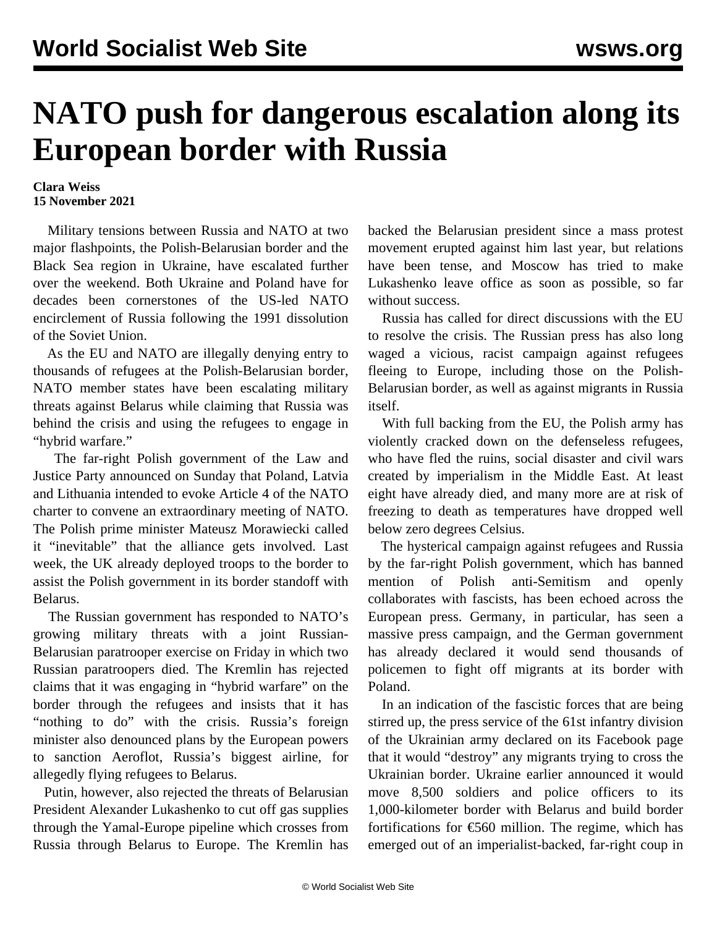## **NATO push for dangerous escalation along its European border with Russia**

## **Clara Weiss 15 November 2021**

 Military tensions between Russia and NATO at two major flashpoints, the Polish-Belarusian border and the Black Sea region in Ukraine, have escalated further over the weekend. Both Ukraine and Poland have for decades been cornerstones of the US-led NATO encirclement of Russia following the 1991 dissolution of the Soviet Union.

 As the EU and NATO are illegally denying entry to thousands of refugees at the Polish-Belarusian border, NATO member states have been escalating military threats against Belarus while claiming that Russia was behind the crisis and using the refugees to engage in "hybrid warfare."

 The far-right Polish government of the Law and Justice Party announced on Sunday that Poland, Latvia and Lithuania intended to evoke Article 4 of the NATO charter to convene an extraordinary meeting of NATO. The Polish prime minister Mateusz Morawiecki called it "inevitable" that the alliance gets involved. Last week, the UK already deployed troops to the border to assist the Polish government in its border standoff with Belarus.

 The Russian government has responded to NATO's growing military threats with a joint Russian-Belarusian paratrooper exercise on Friday in which two Russian paratroopers died. The Kremlin has rejected claims that it was engaging in "hybrid warfare" on the border through the refugees and insists that it has "nothing to do" with the crisis. Russia's foreign minister also denounced plans by the European powers to sanction Aeroflot, Russia's biggest airline, for allegedly flying refugees to Belarus.

 Putin, however, also rejected the threats of Belarusian President Alexander Lukashenko to cut off gas supplies through the Yamal-Europe pipeline which crosses from Russia through Belarus to Europe. The Kremlin has

backed the Belarusian president since a mass protest movement erupted against him last year, but relations have been tense, and Moscow has tried to make Lukashenko leave office as soon as possible, so far without success.

 Russia has called for direct discussions with the EU to resolve the crisis. The Russian press has also long waged a vicious, racist campaign against refugees fleeing to Europe, including those on the Polish-Belarusian border, as well as against migrants in Russia itself.

 With full backing from the EU, the Polish army has violently cracked down on the defenseless refugees, who have fled the ruins, social disaster and civil wars created by imperialism in the Middle East. At least eight have already died, and many more are at risk of freezing to death as temperatures have dropped well below zero degrees Celsius.

 The hysterical campaign against refugees and Russia by the far-right Polish government, which has banned mention of Polish anti-Semitism and openly collaborates with fascists, has been echoed across the European press. Germany, in particular, has seen a massive press campaign, and the German government has already declared it would send thousands of policemen to fight off migrants at its border with Poland.

 In an indication of the fascistic forces that are being stirred up, the press service of the 61st infantry division of the Ukrainian army declared on its Facebook page that it would "destroy" any migrants trying to cross the Ukrainian border. Ukraine earlier announced it would move 8,500 soldiers and police officers to its 1,000-kilometer border with Belarus and build border fortifications for  $\epsilon$ 560 million. The regime, which has emerged out of an imperialist-backed, far-right coup in